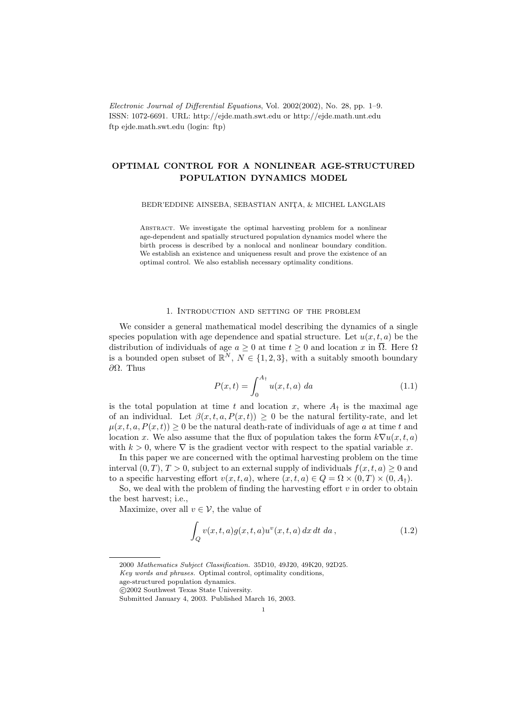Electronic Journal of Differential Equations, Vol. 2002(2002), No. 28, pp. 1–9. ISSN: 1072-6691. URL: http://ejde.math.swt.edu or http://ejde.math.unt.edu ftp ejde.math.swt.edu (login: ftp)

# OPTIMAL CONTROL FOR A NONLINEAR AGE-STRUCTURED POPULATION DYNAMICS MODEL

BEDR'EDDINE AINSEBA, SEBASTIAN ANITA, & MICHEL LANGLAIS

Abstract. We investigate the optimal harvesting problem for a nonlinear age-dependent and spatially structured population dynamics model where the birth process is described by a nonlocal and nonlinear boundary condition. We establish an existence and uniqueness result and prove the existence of an optimal control. We also establish necessary optimality conditions.

#### 1. Introduction and setting of the problem

We consider a general mathematical model describing the dynamics of a single species population with age dependence and spatial structure. Let  $u(x, t, a)$  be the distribution of individuals of age  $a \geq 0$  at time  $t \geq 0$  and location x in  $\overline{\Omega}$ . Here  $\Omega$ is a bounded open subset of  $\mathbb{R}^N$ ,  $N \in \{1,2,3\}$ , with a suitably smooth boundary ∂Ω. Thus

$$
P(x,t) = \int_0^{A_{\dagger}} u(x,t,a) \, da \tag{1.1}
$$

is the total population at time t and location x, where  $A_{\dagger}$  is the maximal age of an individual. Let  $\beta(x, t, a, P(x, t)) \geq 0$  be the natural fertility-rate, and let  $\mu(x, t, a, P(x, t)) \geq 0$  be the natural death-rate of individuals of age a at time t and location x. We also assume that the flux of population takes the form  $k\nabla u(x, t, a)$ with  $k > 0$ , where  $\nabla$  is the gradient vector with respect to the spatial variable x.

In this paper we are concerned with the optimal harvesting problem on the time interval  $(0, T), T > 0$ , subject to an external supply of individuals  $f(x, t, a) \geq 0$  and to a specific harvesting effort  $v(x, t, a)$ , where  $(x, t, a) \in Q = \Omega \times (0, T) \times (0, A_t)$ .

So, we deal with the problem of finding the harvesting effort  $v$  in order to obtain the best harvest; i.e.,

Maximize, over all  $v \in V$ , the value of

$$
\int_{Q} v(x,t,a)g(x,t,a)u^{v}(x,t,a) dx dt da , \qquad (1.2)
$$

<sup>2000</sup> Mathematics Subject Classification. 35D10, 49J20, 49K20, 92D25. Key words and phrases. Optimal control, optimality conditions,

age-structured population dynamics.

c 2002 Southwest Texas State University.

Submitted January 4, 2003. Published March 16, 2003.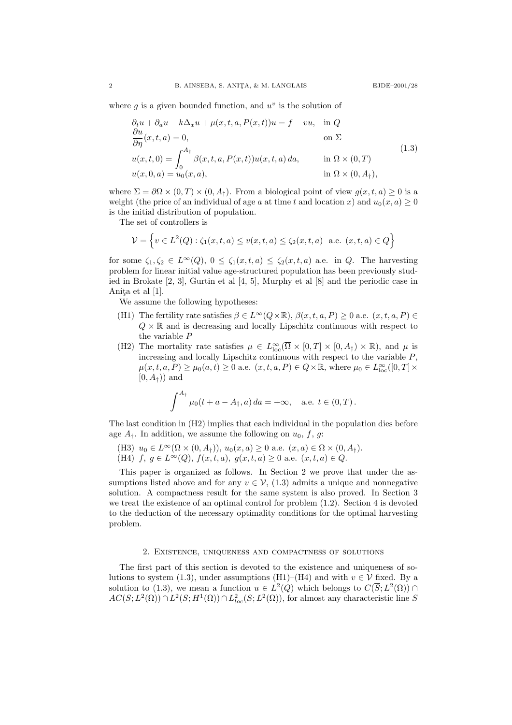where  $g$  is a given bounded function, and  $u^v$  is the solution of

$$
\partial_t u + \partial_a u - k \Delta_x u + \mu(x, t, a, P(x, t))u = f - vu, \text{ in } Q
$$
  
\n
$$
\frac{\partial u}{\partial \eta}(x, t, a) = 0, \text{ on } \Sigma
$$
  
\n
$$
u(x, t, 0) = \int_0^{A_{\dagger}} \beta(x, t, a, P(x, t))u(x, t, a) da, \text{ in } \Omega \times (0, T)
$$
  
\n
$$
u(x, 0, a) = u_0(x, a), \text{ in } \Omega \times (0, A_{\dagger}),
$$
\n(1.3)

where  $\Sigma = \partial \Omega \times (0,T) \times (0,A_{\dagger})$ . From a biological point of view  $g(x,t,a) \geq 0$  is a weight (the price of an individual of age a at time t and location x) and  $u_0(x, a) \geq 0$ is the initial distribution of population.

The set of controllers is

$$
\mathcal{V} = \left\{ v \in L^2(Q) : \zeta_1(x, t, a) \le v(x, t, a) \le \zeta_2(x, t, a) \text{ a.e. } (x, t, a) \in Q \right\}
$$

for some  $\zeta_1, \zeta_2 \in L^{\infty}(Q)$ ,  $0 \leq \zeta_1(x, t, a) \leq \zeta_2(x, t, a)$  a.e. in Q. The harvesting problem for linear initial value age-structured population has been previously studied in Brokate [2, 3], Gurtin et al [4, 5], Murphy et al [8] and the periodic case in Anita et al [1].

We assume the following hypotheses:

- (H1) The fertility rate satisfies  $\beta \in L^{\infty}(Q \times \mathbb{R})$ ,  $\beta(x, t, a, P) \ge 0$  a.e.  $(x, t, a, P) \in$  $Q \times \mathbb{R}$  and is decreasing and locally Lipschitz continuous with respect to the variable P
- (H2) The mortality rate satisfies  $\mu \in L^{\infty}_{loc}(\overline{\Omega} \times [0,T] \times [0,A_{\dagger}) \times \mathbb{R})$ , and  $\mu$  is increasing and locally Lipschitz continuous with respect to the variable  $P$ ,  $\mu(x, t, a, P) \ge \mu_0(a, t) \ge 0$  a.e.  $(x, t, a, P) \in Q \times \mathbb{R}$ , where  $\mu_0 \in L^{\infty}_{loc}([0, T] \times$  $[0, A<sub>†</sub>)$  and

$$
\int^{A_{\dagger}} \mu_0(t + a - A_{\dagger}, a) \, da = +\infty, \quad \text{a.e. } t \in (0, T) \, .
$$

The last condition in (H2) implies that each individual in the population dies before age  $A_{\dagger}$ . In addition, we assume the following on  $u_0, f, g$ :

- (H3)  $u_0 \in L^{\infty}(\Omega \times (0, A_{\dagger}))$ ,  $u_0(x, a) \geq 0$  a.e.  $(x, a) \in \Omega \times (0, A_{\dagger})$ .
- (H4) f,  $g \in L^{\infty}(Q)$ ,  $f(x, t, a)$ ,  $g(x, t, a) \ge 0$  a.e.  $(x, t, a) \in Q$ .

This paper is organized as follows. In Section 2 we prove that under the assumptions listed above and for any  $v \in V$ , (1.3) admits a unique and nonnegative solution. A compactness result for the same system is also proved. In Section 3 we treat the existence of an optimal control for problem (1.2). Section 4 is devoted to the deduction of the necessary optimality conditions for the optimal harvesting problem.

## 2. Existence, uniqueness and compactness of solutions

The first part of this section is devoted to the existence and uniqueness of solutions to system (1.3), under assumptions (H1)–(H4) and with  $v \in V$  fixed. By a solution to (1.3), we mean a function  $u \in L^2(Q)$  which belongs to  $C(\overline{S}; L^2(\Omega)) \cap$  $AC(S; L<sup>2</sup>(\Omega)) \cap L<sup>2</sup>(S; H<sup>1</sup>(\Omega)) \cap L<sub>loc</sub><sup>2</sup>(S; L<sup>2</sup>(\Omega)),$  for almost any characteristic line S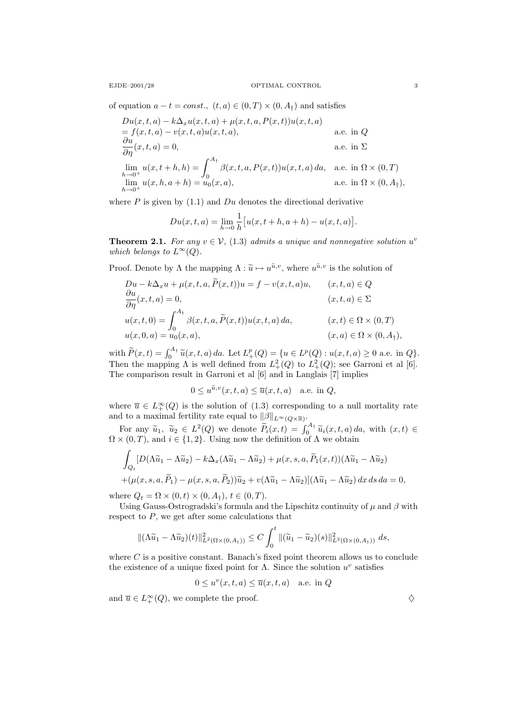of equation  $a - t = const.$ ,  $(t, a) \in (0, T) \times (0, A_{\dagger})$  and satisfies

$$
Du(x,t,a) - k\Delta_x u(x,t,a) + \mu(x,t,a, P(x,t))u(x,t,a)
$$
  
=  $f(x,t,a) - v(x,t,a)u(x,t,a)$ ,  
 $\frac{\partial u}{\partial \eta}(x,t,a) = 0$ ,  
 $\lim_{h \to 0^+} u(x,t+h,h) = \int_0^{A_\dagger} \beta(x,t,a, P(x,t))u(x,t,a) da$ , a.e. in  $\Omega \times (0,T)$   
 $\lim_{h \to 0^+} u(x,h,a+h) = u_0(x,a)$ ,  
a.e. in  $\Omega \times (0, A_\dagger)$ ,

where  $P$  is given by  $(1.1)$  and  $Du$  denotes the directional derivative

$$
Du(x, t, a) = \lim_{h \to 0} \frac{1}{h} [u(x, t+h, a+h) - u(x, t, a)].
$$

**Theorem 2.1.** For any  $v \in V$ , (1.3) admits a unique and nonnegative solution  $u^v$ which belongs to  $L^{\infty}(Q)$ .

Proof. Denote by  $\Lambda$  the mapping  $\Lambda : \tilde{u} \mapsto u^{\tilde{u},v}$ , where  $u^{\tilde{u},v}$  is the solution of

$$
Du - k\Delta_x u + \mu(x, t, a, \tilde{P}(x, t))u = f - v(x, t, a)u, \qquad (x, t, a) \in Q
$$
  
\n
$$
\frac{\partial u}{\partial \eta}(x, t, a) = 0, \qquad (x, t, a) \in \Sigma
$$
  
\n
$$
u(x, t, 0) = \int_0^{A_\dagger} \beta(x, t, a, \tilde{P}(x, t))u(x, t, a) da, \qquad (x, t) \in \Omega \times (0, T)
$$
  
\n
$$
u(x, 0, a) = u_0(x, a), \qquad (x, a) \in \Omega \times (0, A_\dagger),
$$

with  $\widetilde{P}(x,t) = \int_0^{A_{\dagger}} \widetilde{u}(x,t,a) da$ . Let  $L^p_+(Q) = \{u \in L^p(Q) : u(x,t,a) \ge 0 \text{ a.e. in } Q\}$ .<br>Then the mannipus  $\Lambda$  is well defined from  $L^2(Q)$  to  $L^2(Q)$ ; see Correspirated [6] Then the mapping  $\Lambda$  is well defined from  $L^2_+(Q)$  to  $L^2_+(Q)$ ; see Garroni et al [6]. The comparison result in Garroni et al [6] and in Langlais [7] implies

$$
0 \le u^{\widetilde{u},v}(x,t,a) \le \overline{u}(x,t,a) \quad \text{a.e. in } Q,
$$

where  $\overline{u} \in L_+^{\infty}(Q)$  is the solution of  $(1.3)$  corresponding to a null mortality rate and to a maximal fertility rate equal to  $\|\beta\|_{L^{\infty}(Q\times\mathbb{R})}$ .

For any  $\widetilde{u}_1$ ,  $\widetilde{u}_2 \in L^2(Q)$  we denote  $\widetilde{P}_i(x,t) = \int_0^{A_\dagger} \widetilde{u}_i(x,t,a) da$ , with  $(x,t) \in \Omega \times (0,T)$ , and  $i \in \{1,2\}$ . Using now the definition of  $\Lambda$  we obtain

$$
\int_{Q_t} [D(\Lambda \widetilde{u}_1 - \Lambda \widetilde{u}_2) - k \Delta_x (\Lambda \widetilde{u}_1 - \Lambda \widetilde{u}_2) + \mu(x, s, a, \widetilde{P}_1(x, t)) (\Lambda \widetilde{u}_1 - \Lambda \widetilde{u}_2) + (\mu(x, s, a, \widetilde{P}_1) - \mu(x, s, a, \widetilde{P}_2)) \widetilde{u}_2 + v(\Lambda \widetilde{u}_1 - \Lambda \widetilde{u}_2) (\Lambda \widetilde{u}_1 - \Lambda \widetilde{u}_2) dx ds da = 0,
$$

where  $Q_t = \Omega \times (0, t) \times (0, A_t)$ ,  $t \in (0, T)$ .

Using Gauss-Ostrogradski's formula and the Lipschitz continuity of  $\mu$  and  $\beta$  with respect to  $P$ , we get after some calculations that

$$
\|(\Lambda \widetilde{u}_1 - \Lambda \widetilde{u}_2)(t)\|_{L^2(\Omega \times (0, A_{\dagger}))}^2 \le C \int_0^t \|(\widetilde{u}_1 - \widetilde{u}_2)(s)\|_{L^2(\Omega \times (0, A_{\dagger}))}^2 ds,
$$

where  $C$  is a positive constant. Banach's fixed point theorem allows us to conclude the existence of a unique fixed point for  $\Lambda$ . Since the solution  $u^v$  satisfies

 $0 \leq u^v(x,t,a) \leq \overline{u}(x,t,a)$  a.e. in Q

and  $\overline{u} \in L_+^{\infty}(Q)$ , we complete the proof.  $\diamondsuit$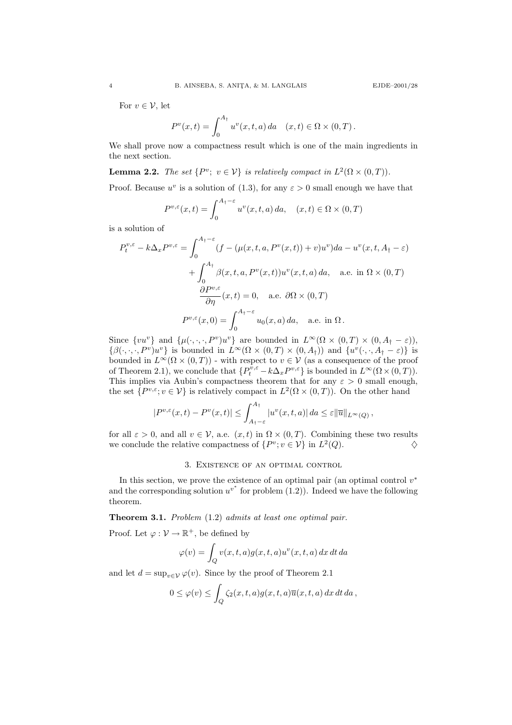For  $v \in \mathcal{V}$ , let

$$
P^{v}(x,t) = \int_0^{A_{\dagger}} u^{v}(x,t,a) \, da \quad (x,t) \in \Omega \times (0,T) \, .
$$

We shall prove now a compactness result which is one of the main ingredients in the next section.

**Lemma 2.2.** The set  $\{P^v; v \in V\}$  is relatively compact in  $L^2(\Omega \times (0,T))$ .

Proof. Because  $u^v$  is a solution of (1.3), for any  $\varepsilon > 0$  small enough we have that

$$
P^{v,\varepsilon}(x,t) = \int_0^{A_\dagger-\varepsilon} u^v(x,t,a) \, da, \quad (x,t) \in \Omega \times (0,T)
$$

is a solution of

$$
P_t^{v,\varepsilon} - k\Delta_x P^{v,\varepsilon} = \int_0^{A_\dagger - \varepsilon} (f - (\mu(x, t, a, P^v(x, t)) + v)u^v) da - u^v(x, t, A_\dagger - \varepsilon)
$$
  
+ 
$$
\int_0^{A_\dagger} \beta(x, t, a, P^v(x, t))u^v(x, t, a) da, \quad \text{a.e. in } \Omega \times (0, T)
$$
  

$$
\frac{\partial P^{v,\varepsilon}}{\partial \eta}(x, t) = 0, \quad \text{a.e. } \partial\Omega \times (0, T)
$$
  

$$
P^{v,\varepsilon}(x, 0) = \int_0^{A_\dagger - \varepsilon} u_0(x, a) da, \quad \text{a.e. in } \Omega.
$$

Since  $\{vu^v\}$  and  $\{\mu(\cdot,\cdot,\cdot,P^v)u^v\}$  are bounded in  $L^\infty(\Omega\times(0,T)\times(0,A_\dagger-\varepsilon))$ ,  $\{\beta(\cdot,\cdot,\cdot,P^v)u^v\}$  is bounded in  $L^{\infty}(\Omega\times(0,T)\times(0,A_{\dagger}))$  and  $\{u^v(\cdot,\cdot,A_{\dagger}-\varepsilon)\}$  is bounded in  $L^{\infty}(\Omega \times (0,T))$  - with respect to  $v \in V$  (as a consequence of the proof of Theorem 2.1), we conclude that  $\{P_t^{\bar{v},\varepsilon} - k\Delta_x P^{v,\varepsilon}\}\$ is bounded in  $L^\infty(\Omega \times (0,T)).$ This implies via Aubin's compactness theorem that for any  $\varepsilon > 0$  small enough, the set  $\{P^{v,\varepsilon};v\in\mathcal{V}\}\$ is relatively compact in  $L^2(\Omega\times(0,T))$ . On the other hand

$$
|P^{v,\varepsilon}(x,t)-P^v(x,t)|\leq \int_{A_{\dagger}-\varepsilon}^{A_{\dagger}}|u^v(x,t,a)|\,da\leq \varepsilon\|\overline{u}\|_{L^{\infty}(Q)},
$$

for all  $\varepsilon > 0$ , and all  $v \in V$ , a.e.  $(x, t)$  in  $\Omega \times (0, T)$ . Combining these two results we conclude the relative compactness of  $\{P^v; v \in V\}$  in  $L^2(Q)$ .

### 3. Existence of an optimal control

In this section, we prove the existence of an optimal pair (an optimal control  $v^*$ and the corresponding solution  $u^{v^*}$  for problem (1.2)). Indeed we have the following theorem.

Theorem 3.1. Problem (1.2) admits at least one optimal pair.

Proof. Let  $\varphi : \mathcal{V} \to \mathbb{R}^+$ , be defined by

$$
\varphi(v) = \int_{Q} v(x, t, a) g(x, t, a) u^{v}(x, t, a) dx dt da
$$

and let  $d = \sup_{v \in \mathcal{V}} \varphi(v)$ . Since by the proof of Theorem 2.1

$$
0 \le \varphi(v) \le \int_Q \zeta_2(x,t,a)g(x,t,a)\overline{u}(x,t,a)\,dx\,dt\,da\,,
$$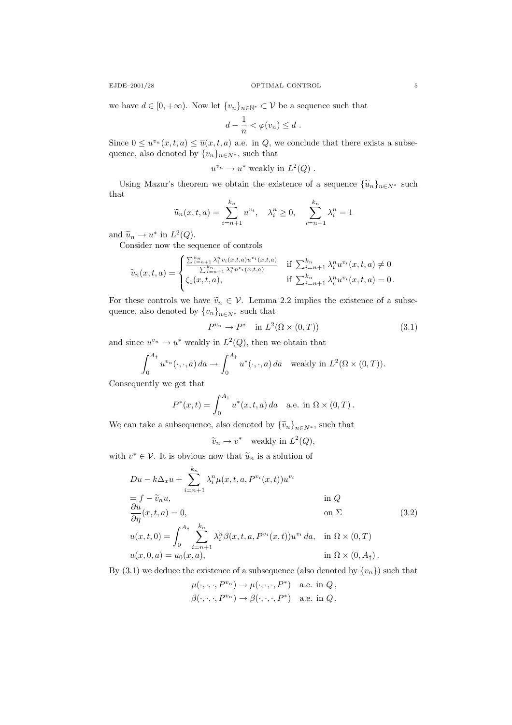we have  $d \in [0, +\infty)$ . Now let  $\{v_n\}_{n \in \mathbb{N}^*} \subset \mathcal{V}$  be a sequence such that

$$
d-\frac{1}{n}<\varphi(v_n)\leq d.
$$

Since  $0 \leq u^{v_n}(x, t, a) \leq \overline{u}(x, t, a)$  a.e. in Q, we conclude that there exists a subsequence, also denoted by  $\{v_n\}_{n\in N^*}$ , such that

$$
u^{v_n} \to u^*
$$
 weakly in  $L^2(Q)$ .

Using Mazur's theorem we obtain the existence of a sequence  $\{\widetilde{u}_n\}_{n\in N^*}$  such that

$$
\widetilde{u}_n(x,t,a) = \sum_{i=n+1}^{k_n} u^{v_i}, \quad \lambda_i^n \ge 0, \quad \sum_{i=n+1}^{k_n} \lambda_i^n = 1
$$

and  $\widetilde{u}_n \to u^*$  in  $L^2(Q)$ .<br>Consider now the set

Consider now the sequence of controls

$$
\widetilde{v}_n(x,t,a) = \begin{cases}\n\frac{\sum_{i=n+1}^{k_n} \lambda_i^{n} v_i(x,t,a) u^{v_i}(x,t,a)}{\sum_{i=n+1}^{k_n} \lambda_i^{n} u^{v_i}(x,t,a)} & \text{if } \sum_{i=n+1}^{k_n} \lambda_i^{n} u^{v_i}(x,t,a) \neq 0 \\
\zeta_1(x,t,a), & \text{if } \sum_{i=n+1}^{k_n} \lambda_i^{n} u^{v_i}(x,t,a) = 0.\n\end{cases}
$$

For these controls we have  $\tilde{v}_n \in V$ . Lemma 2.2 implies the existence of a subsequence, also denoted by  ${v_n}_{n\in N^*}$  such that

$$
P^{v_n} \to P^* \quad \text{in } L^2(\Omega \times (0,T))
$$
\n
$$
(3.1)
$$

and since  $u^{v_n} \to u^*$  weakly in  $L^2(Q)$ , then we obtain that

$$
\int_0^{A_\dagger} u^{v_n}(\cdot,\cdot,a) \, da \to \int_0^{A_\dagger} u^*(\cdot,\cdot,a) \, da \quad \text{weakly in } L^2(\Omega \times (0,T)).
$$

Consequently we get that

$$
P^*(x,t) = \int_0^{A_{\dagger}} u^*(x,t,a) \, da \quad \text{a.e. in } \Omega \times (0,T) \, .
$$

We can take a subsequence, also denoted by  $\{\widetilde{v}_n\}_{n\in N^*}$ , such that

$$
\widetilde{v}_n \to v^*
$$
 weakly in  $L^2(Q)$ ,

with  $v^* \in \mathcal{V}$ . It is obvious now that  $\widetilde{u}_n$  is a solution of

$$
Du - k\Delta_x u + \sum_{i=n+1}^{k_n} \lambda_i^n \mu(x, t, a, P^{v_i}(x, t)) u^{v_i}
$$
  
=  $f - \tilde{v}_n u$ , in  $Q$   
 $\frac{\partial u}{\partial \eta}(x, t, a) = 0$ , on  $\Sigma$   
 $u(x, t, 0) = \int_0^{A_\dagger} \sum_{i=n+1}^{k_n} \lambda_i^n \beta(x, t, a, P^{v_i}(x, t)) u^{v_i} da$ , in  $\Omega \times (0, T)$   
 $u(x, 0, a) = u_0(x, a)$ , in  $\Omega \times (0, A_\dagger)$ .

By  $(3.1)$  we deduce the existence of a subsequence (also denoted by  $\{v_n\}$ ) such that

$$
\mu(\cdot,\cdot,\cdot,P^{v_n}) \to \mu(\cdot,\cdot,\cdot,P^*) \quad \text{a.e. in } Q\,,
$$
  

$$
\beta(\cdot,\cdot,\cdot,P^{v_n}) \to \beta(\cdot,\cdot,\cdot,P^*) \quad \text{a.e. in } Q\,.
$$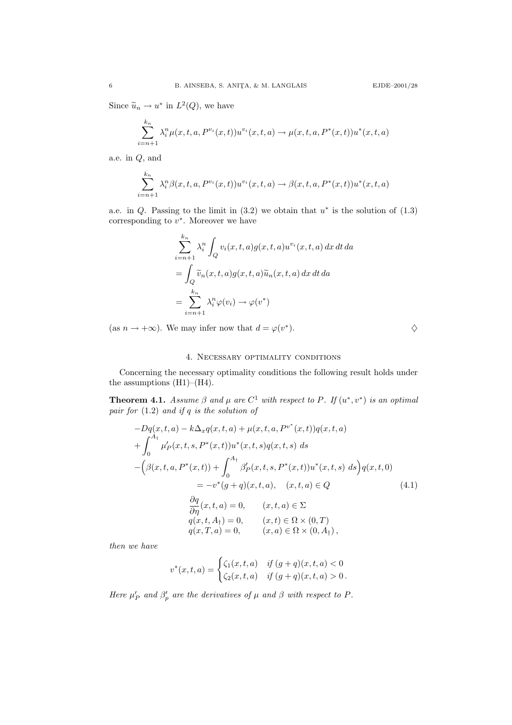Since  $\tilde{u}_n \to u^*$  in  $L^2(Q)$ , we have

$$
\sum_{i=n+1}^{k_n} \lambda_i^n \mu(x, t, a, P^{v_i}(x, t)) u^{v_i}(x, t, a) \to \mu(x, t, a, P^*(x, t)) u^*(x, t, a)
$$

a.e. in Q, and

$$
\sum_{i=n+1}^{k_n} \lambda_i^n \beta(x, t, a, P^{v_i}(x, t)) u^{v_i}(x, t, a) \rightarrow \beta(x, t, a, P^*(x, t)) u^*(x, t, a)
$$

a.e. in  $Q$ . Passing to the limit in  $(3.2)$  we obtain that  $u^*$  is the solution of  $(1.3)$ corresponding to  $v^*$ . Moreover we have

$$
\sum_{i=n+1}^{k_n} \lambda_i^n \int_Q v_i(x, t, a) g(x, t, a) u^{v_i}(x, t, a) dx dt da
$$
  
= 
$$
\int_Q \widetilde{v}_n(x, t, a) g(x, t, a) \widetilde{u}_n(x, t, a) dx dt da
$$
  
= 
$$
\sum_{i=n+1}^{k_n} \lambda_i^n \varphi(v_i) \to \varphi(v^*)
$$

(as  $n \to +\infty$ ). We may infer now that  $d = \varphi(v^*)$ ).  $\diamondsuit$ 

# 4. Necessary optimality conditions

Concerning the necessary optimality conditions the following result holds under the assumptions  $(H1)–(H4)$ .

**Theorem 4.1.** Assume  $\beta$  and  $\mu$  are  $C^1$  with respect to P. If  $(u^*, v^*)$  is an optimal pair for (1.2) and if q is the solution of

$$
-Dq(x, t, a) - k\Delta_x q(x, t, a) + \mu(x, t, a, P^{v^*}(x, t))q(x, t, a)
$$
  
+ 
$$
\int_0^{A_1} \mu'_P(x, t, s, P^*(x, t))u^*(x, t, s)q(x, t, s) ds
$$
  
- 
$$
(\beta(x, t, a, P^*(x, t)) + \int_0^{A_1} \beta'_P(x, t, s, P^*(x, t))u^*(x, t, s) ds)q(x, t, 0)
$$
  
= 
$$
-v^*(g + q)(x, t, a), \quad (x, t, a) \in Q
$$
  

$$
\frac{\partial q}{\partial \eta}(x, t, a) = 0, \quad (x, t, a) \in \Sigma
$$
  

$$
q(x, t, A_1) = 0, \quad (x, t) \in \Omega \times (0, T)
$$
  

$$
q(x, T, a) = 0, \quad (x, a) \in \Omega \times (0, A_1),
$$
 (4.1)

then we have

$$
v^*(x,t,a) = \begin{cases} \zeta_1(x,t,a) & \text{if } (g+q)(x,t,a) < 0\\ \zeta_2(x,t,a) & \text{if } (g+q)(x,t,a) > 0. \end{cases}
$$

Here  $\mu'_P$  and  $\beta'_P$  are the derivatives of  $\mu$  and  $\beta$  with respect to P.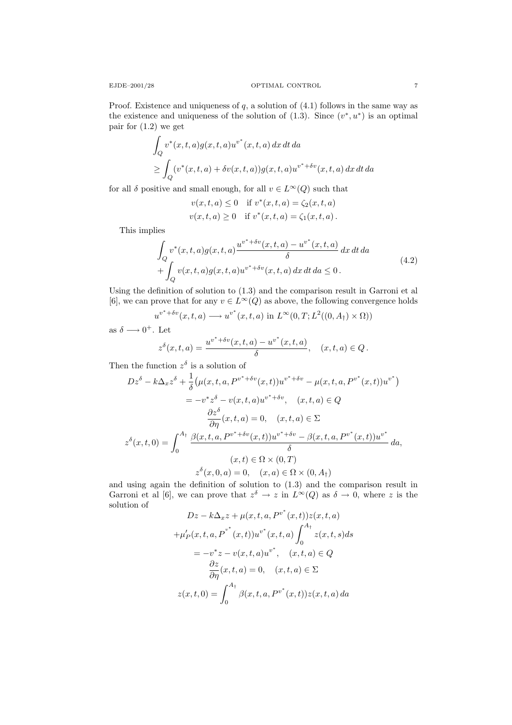Proof. Existence and uniqueness of  $q$ , a solution of  $(4.1)$  follows in the same way as the existence and uniqueness of the solution of  $(1.3)$ . Since  $(v^*, u^*)$  is an optimal pair for (1.2) we get

$$
\int_{Q} v^*(x,t,a)g(x,t,a)u^{v^*}(x,t,a) dx dt da
$$
  
\n
$$
\geq \int_{Q} (v^*(x,t,a) + \delta v(x,t,a))g(x,t,a)u^{v^*+\delta v}(x,t,a) dx dt da
$$

for all  $\delta$  positive and small enough, for all  $v \in L^{\infty}(Q)$  such that

$$
v(x, t, a) \le 0 \quad \text{if } v^*(x, t, a) = \zeta_2(x, t, a)
$$
  

$$
v(x, t, a) \ge 0 \quad \text{if } v^*(x, t, a) = \zeta_1(x, t, a).
$$

This implies

$$
\int_{Q} v^{*}(x,t,a)g(x,t,a) \frac{u^{v^{*}+\delta v}(x,t,a) - u^{v^{*}}(x,t,a)}{\delta} dx dt da \n+ \int_{Q} v(x,t,a)g(x,t,a)u^{v^{*}+\delta v}(x,t,a) dx dt da \le 0.
$$
\n(4.2)

Using the definition of solution to (1.3) and the comparison result in Garroni et al [6], we can prove that for any  $v \in L^{\infty}(Q)$  as above, the following convergence holds

$$
u^{v^* + \delta v}(x, t, a) \longrightarrow u^{v^*}(x, t, a) \text{ in } L^{\infty}(0, T; L^2((0, A_{\dagger}) \times \Omega))
$$
  
s  $\delta \longrightarrow 0^+$ . Let

as 
$$
\delta \longrightarrow 0^+
$$
. Let

$$
z^{\delta}(x,t,a) = \frac{u^{v^* + \delta v}(x,t,a) - u^{v^*}(x,t,a)}{\delta}, \quad (x,t,a) \in Q.
$$

Then the function  $z^{\delta}$  is a solution of

$$
Dz^{\delta} - k\Delta_{x}z^{\delta} + \frac{1}{\delta} \left( \mu(x, t, a, P^{v^* + \delta v}(x, t)) u^{v^* + \delta v} - \mu(x, t, a, P^{v^*}(x, t)) u^{v^*} \right)
$$
  

$$
= -v^* z^{\delta} - v(x, t, a) u^{v^* + \delta v}, \quad (x, t, a) \in Q
$$
  

$$
\frac{\partial z^{\delta}}{\partial \eta}(x, t, a) = 0, \quad (x, t, a) \in \Sigma
$$
  

$$
z^{\delta}(x, t, 0) = \int_0^{A_{\dagger}} \frac{\beta(x, t, a, P^{v^* + \delta v}(x, t)) u^{v^* + \delta v} - \beta(x, t, a, P^{v^*}(x, t)) u^{v^*}}{\delta} da,
$$
  

$$
(x, t) \in \Omega \times (0, T)
$$
  

$$
z^{\delta}(x, 0, a) = 0, \quad (x, a) \in \Omega \times (0, A_{\dagger})
$$

and using again the definition of solution to (1.3) and the comparison result in Garroni et al [6], we can prove that  $z^{\delta} \to z$  in  $L^{\infty}(Q)$  as  $\delta \to 0$ , where z is the solution of

$$
Dz - k\Delta_x z + \mu(x, t, a, P^{v^*}(x, t))z(x, t, a)
$$

$$
+ \mu'_P(x, t, a, P^{v^*}(x, t))u^{v^*}(x, t, a)\int_0^{A_t} z(x, t, s)ds
$$

$$
= -v^*z - v(x, t, a)u^{v^*}, \quad (x, t, a) \in Q
$$

$$
\frac{\partial z}{\partial \eta}(x, t, a) = 0, \quad (x, t, a) \in \Sigma
$$

$$
z(x, t, 0) = \int_0^{A_t} \beta(x, t, a, P^{v^*}(x, t))z(x, t, a) da
$$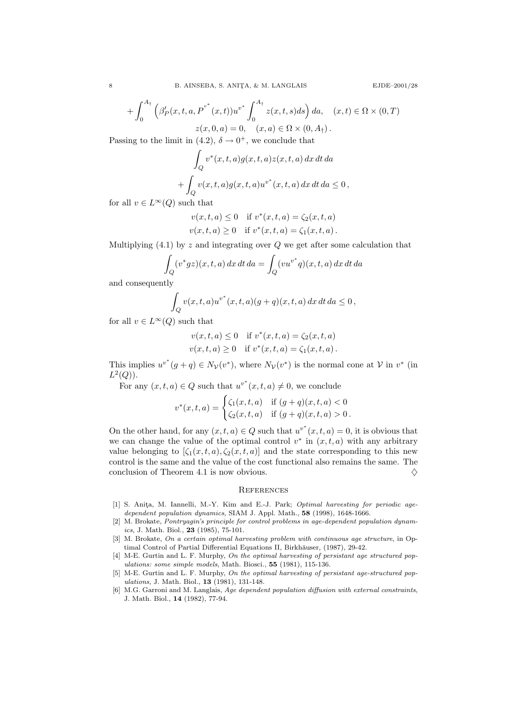$$
+\int_0^{A_{\dagger}} \left(\beta'_P(x,t,a,P^{v^*}(x,t))u^{v^*}\int_0^{A_{\dagger}} z(x,t,s)ds\right)da, \quad (x,t)\in \Omega\times (0,T)
$$
  

$$
z(x,0,a) = 0, \quad (x,a)\in \Omega\times (0,A_{\dagger}).
$$

Passing to the limit in (4.2),  $\delta \rightarrow 0^+$ , we conclude that

$$
\int_{Q} v^*(x,t,a)g(x,t,a)z(x,t,a) dx dt da
$$

$$
+ \int_{Q} v(x,t,a)g(x,t,a)u^{v^*}(x,t,a) dx dt da \leq 0,
$$

for all  $v \in L^{\infty}(Q)$  such that

$$
v(x, t, a) \le 0 \quad \text{if } v^*(x, t, a) = \zeta_2(x, t, a)
$$
  

$$
v(x, t, a) \ge 0 \quad \text{if } v^*(x, t, a) = \zeta_1(x, t, a).
$$

Multiplying  $(4.1)$  by z and integrating over Q we get after some calculation that

$$
\int_{Q} (v^*gz)(x,t,a) dx dt da = \int_{Q} (vu^{v^*}q)(x,t,a) dx dt da
$$

and consequently

$$
\int_{Q} v(x,t,a)u^{v^*}(x,t,a)(g+q)(x,t,a) dx dt da \leq 0,
$$

for all  $v \in L^{\infty}(Q)$  such that

$$
v(x, t, a) \le 0 \quad \text{if } v^*(x, t, a) = \zeta_2(x, t, a)
$$
  

$$
v(x, t, a) \ge 0 \quad \text{if } v^*(x, t, a) = \zeta_1(x, t, a).
$$

This implies  $u^{v^*}(g+q) \in N_{\mathcal{V}}(v^*)$ , where  $N_{\mathcal{V}}(v^*)$  is the normal cone at  $\mathcal{V}$  in  $v^*$  (in  $L^2(Q)$ ).

For any  $(x,t,a) \in Q$  such that  $u^{v^*}(x,t,a) \neq 0$ , we conclude

$$
v^*(x,t,a) = \begin{cases} \zeta_1(x,t,a) & \text{if } (g+q)(x,t,a) < 0\\ \zeta_2(x,t,a) & \text{if } (g+q)(x,t,a) > 0 \end{cases}
$$

On the other hand, for any  $(x, t, a) \in Q$  such that  $u^{v^*}(x, t, a) = 0$ , it is obvious that we can change the value of the optimal control  $v^*$  in  $(x, t, a)$  with any arbitrary value belonging to  $[\zeta_1(x, t, a), \zeta_2(x, t, a)]$  and the state corresponding to this new control is the same and the value of the cost functional also remains the same. The conclusion of Theorem 4.1 is now obvious.  $\Diamond$ 

### **REFERENCES**

- [1] S. Anita, M. Iannelli, M.-Y. Kim and E.-J. Park; Optimal harvesting for periodic agedependent population dynamics, SIAM J. Appl. Math., 58 (1998), 1648-1666.
- [2] M. Brokate, Pontryagin's principle for control problems in age-dependent population dynamics, J. Math. Biol., 23 (1985), 75-101.
- [3] M. Brokate, On a certain optimal harvesting problem with continuous age structure, in Optimal Control of Partial Differential Equations II, Birkhauser, (1987), 29-42.
- [4] M-E. Gurtin and L. F. Murphy, On the optimal harvesting of persistant age structured populations: some simple models, Math. Biosci., 55 (1981), 115-136.
- [5] M-E. Gurtin and L. F. Murphy, On the optimal harvesting of persistant age-structured populations, J. Math. Biol., 13 (1981), 131-148.
- [6] M.G. Garroni and M. Langlais, Age dependent population diffusion with external constraints, J. Math. Biol., 14 (1982), 77-94.